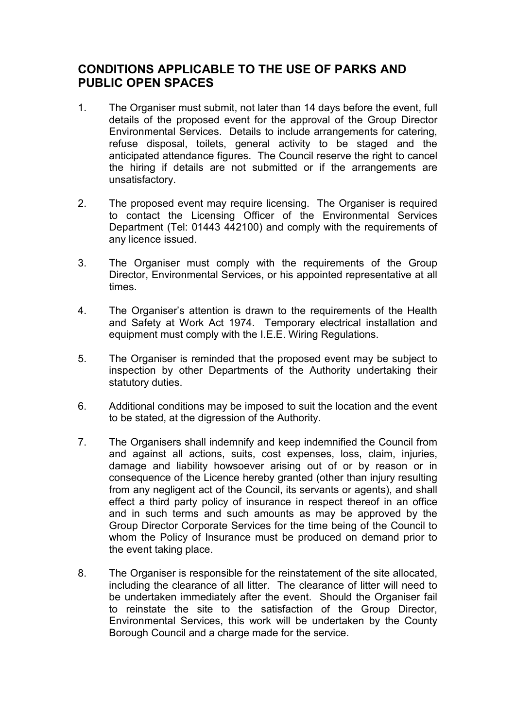## CONDITIONS APPLICABLE TO THE USE OF PARKS AND PUBLIC OPEN SPACES

- 1. The Organiser must submit, not later than 14 days before the event, full details of the proposed event for the approval of the Group Director Environmental Services. Details to include arrangements for catering, refuse disposal, toilets, general activity to be staged and the anticipated attendance figures. The Council reserve the right to cancel the hiring if details are not submitted or if the arrangements are unsatisfactory.
- 2. The proposed event may require licensing. The Organiser is required to contact the Licensing Officer of the Environmental Services Department (Tel: 01443 442100) and comply with the requirements of any licence issued.
- 3. The Organiser must comply with the requirements of the Group Director, Environmental Services, or his appointed representative at all times.
- 4. The Organiser's attention is drawn to the requirements of the Health and Safety at Work Act 1974. Temporary electrical installation and equipment must comply with the I.E.E. Wiring Regulations.
- 5. The Organiser is reminded that the proposed event may be subject to inspection by other Departments of the Authority undertaking their statutory duties.
- 6. Additional conditions may be imposed to suit the location and the event to be stated, at the digression of the Authority.
- 7. The Organisers shall indemnify and keep indemnified the Council from and against all actions, suits, cost expenses, loss, claim, injuries, damage and liability howsoever arising out of or by reason or in consequence of the Licence hereby granted (other than injury resulting from any negligent act of the Council, its servants or agents), and shall effect a third party policy of insurance in respect thereof in an office and in such terms and such amounts as may be approved by the Group Director Corporate Services for the time being of the Council to whom the Policy of Insurance must be produced on demand prior to the event taking place.
- 8. The Organiser is responsible for the reinstatement of the site allocated, including the clearance of all litter. The clearance of litter will need to be undertaken immediately after the event. Should the Organiser fail to reinstate the site to the satisfaction of the Group Director, Environmental Services, this work will be undertaken by the County Borough Council and a charge made for the service.